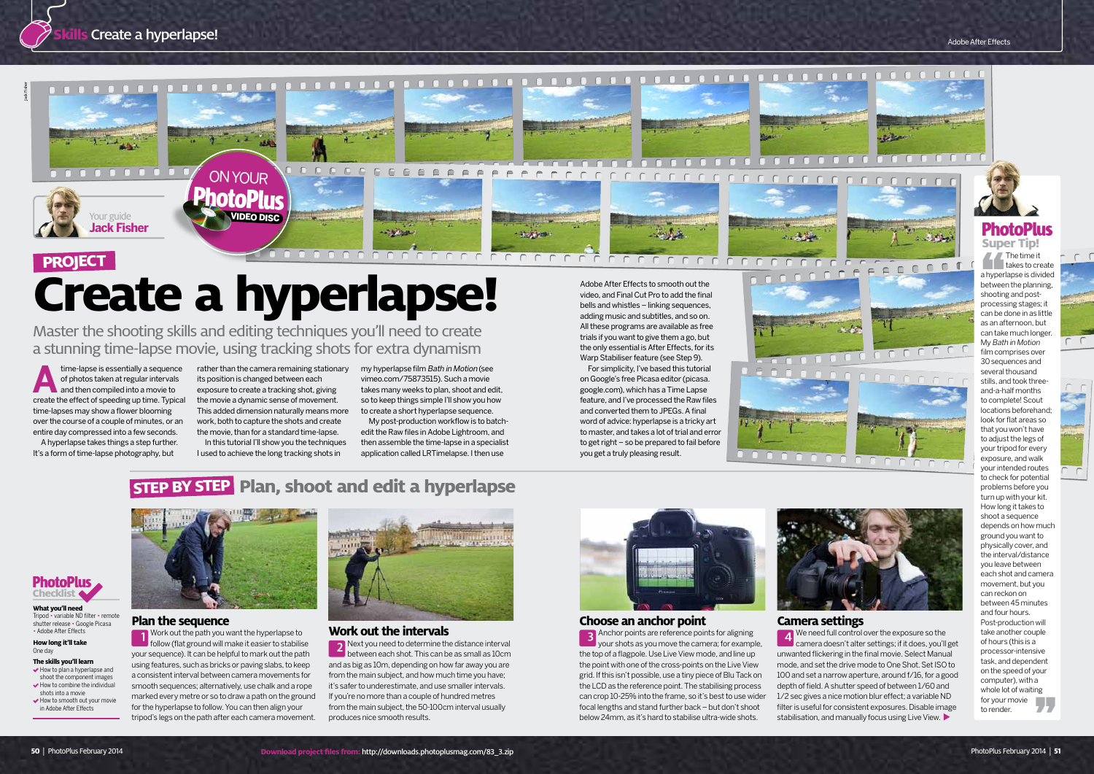#### **Plan the sequence**

Work out the path you want the hyperlapse to follow (flat ground will make it easier to stabilise your sequence). It can be helpful to mark out the path using features, such as bricks or paving slabs, to keep a consistent interval between camera movements for smooth sequences; alternatively, use chalk and a rope marked every metre or so to draw a path on the ground for the hyperlapse to follow. You can then align your tripod's legs on the path after each camera movement.



**B** Anchor points are reference points for aligning your shots as you move the camera; for example, the top of a flagpole. Use Live View mode, and line up the point with one of the cross-points on the Live View grid. If this isn't possible, use a tiny piece of Blu Tack on the LCD as the reference point. The stabilising process can crop 10-25% into the frame, so it's best to use wider focal lengths and stand further back – but don't shoot below 24mm, as it's hard to stabilise ultra-wide shots.

#### **Choose an anchor point**

#### **Work out the intervals**

 $\blacktriangleright$  How to plan a hyperlapse and shoot the component images

- $\blacktriangleright$  How to combine the individual shots into a movie
- How to smooth out your movie in Adobe After Effects



Next you need to determine the distance interval between each shot. This can be as small as 10cm and as big as 10m, depending on how far away you are from the main subject, and how much time you have; it's safer to underestimate, and use smaller intervals. If you're no more than a couple of hundred metres from the main subject, the 50-100cm interval usually produces nice smooth results.



time-lapse is essentially a sequence<br>
of photos taken at regular intervals<br>
and then compiled into a movie to of photos taken at regular intervals create the effect of speeding up time. Typical time-lapses may show a flower blooming over the course of a couple of minutes, or an entire day compressed into a few seconds.

## **Camera settings**

**4** We need full control over the exposure so the camera doesn't alter settings; if it does, you'll get unwanted flickering in the final movie. Select Manual mode, and set the drive mode to One Shot. Set ISO to 100 and set a narrow aperture, around f/16, for a good depth of field. A shutter speed of between 1/60 and 1/2 sec gives a nice motion blur effect; a variable ND filter is useful for consistent exposures. Disable image stabilisation, and manually focus using Live View.

Master the shooting skills and editing techniques you'll need to create a stunning time-lapse movie, using tracking shots for extra dynamism

**What you'll need** Tripod • variable ND filter • remote shutter release • Google Picasa • Adobe After Effects **How long it'll take**

One day **The skills you'll learn**

The time it takes to create a hyperlapse is divided between the planning, shooting and postprocessing stages; it can be done in as little as an afternoon, but can take much longer. My Bath in Motion film comprises over 30 sequences and several thousand stills, and took threeand-a-half months to complete! Scout locations beforehand; look for flat areas so that you won't have to adjust the legs of your tripod for every exposure, and walk your intended routes to check for potential problems before you turn up with your kit. How long it takes to shoot a sequence depends on how much ground you want to physically cover, and the interval/distance you leave between each shot and camera movement, but you can reckon on between 45 minutes and four hours. Post-production will take another couple of hours (this is a processor-intensive task, and dependent on the speed of your computer), with a whole lot of waiting for your movie to render.





**PhotoPlus Super Tip!**



## **STEP BY STEP Plan, shoot and edit a hyperlapse**



A hyperlapse takes things a step further. It's a form of time-lapse photography, but

rather than the camera remaining stationary its position is changed between each exposure to create a tracking shot, giving the movie a dynamic sense of movement. This added dimension naturally means more work, both to capture the shots and create the movie, than for a standard time-lapse.

In this tutorial I'll show you the techniques I used to achieve the long tracking shots in

my hyperlapse film Bath in Motion (see [vimeo.com/75873515](http://vimeo.com/75873515)). Such a movie takes many weeks to plan, shoot and edit, so to keep things simple I'll show you how to create a short hyperlapse sequence.

My post-production workflow is to batchedit the Raw files in Adobe Lightroom, and then assemble the time-lapse in a specialist application called LRTimelapse. I then use



# **Create a hyperlapse!**

Adobe After Effects to smooth out the video, and Final Cut Pro to add the final bells and whistles – linking sequences, adding music and subtitles, and so on. All these programs are available as free trials if you want to give them a go, but the only essential is After Effects, for its Warp Stabiliser feature (see Step 9).

For simplicity, I've based this tutorial on Google's free Picasa editor [\(picasa.](http://picasa.google.com) [google.com\)](http://picasa.google.com), which has a Time Lapse feature, and I've processed the Raw files and converted them to JPEGs. A final word of advice: hyperlapse is a tricky art to master, and takes a lot of trial and error to get right – so be prepared to fail before you get a truly pleasing result.